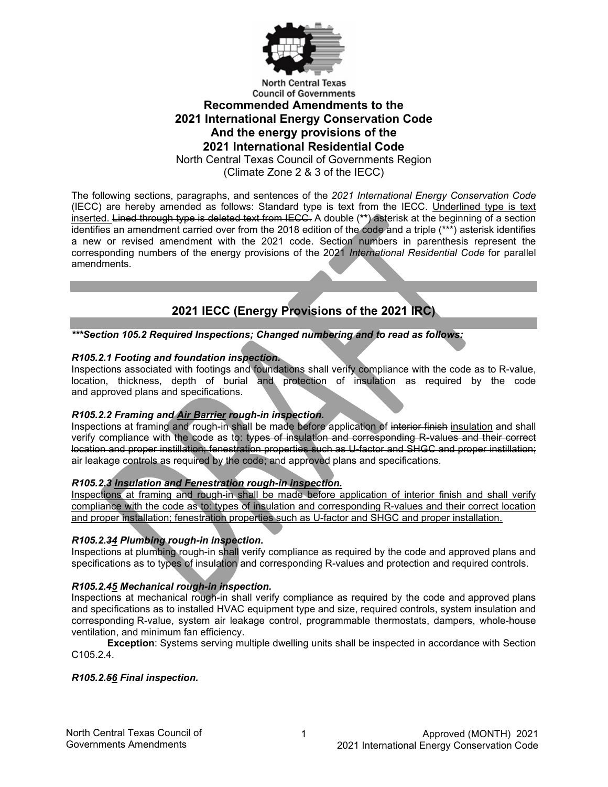

# **Recommended Amendments to the 2021 International Energy Conservation Code And the energy provisions of the 2021 International Residential Code**

North Central Texas Council of Governments Region

(Climate Zone 2 & 3 of the IECC)

The following sections, paragraphs, and sentences of the *2021 International Energy Conservation Code* (IECC) are hereby amended as follows: Standard type is text from the IECC. Underlined type is text inserted. Lined through type is deleted text from IECC. A double (**\*\***) asterisk at the beginning of a section identifies an amendment carried over from the 2018 edition of the code and a triple (\*\*\*) asterisk identifies a new or revised amendment with the 2021 code. Section numbers in parenthesis represent the corresponding numbers of the energy provisions of the 2021 *International Residential Code* for parallel amendments.

## **2021 IECC (Energy Provisions of the 2021 IRC)**

*\*\*\*Section 105.2 Required Inspections; Changed numbering and to read as follows:*

## *R105.2.1 Footing and foundation inspection.*

Inspections associated with footings and foundations shall verify compliance with the code as to R-value, location, thickness, depth of burial and protection of insulation as required by the code and approved plans and specifications.

## *R105.2.2 Framing and Air Barrier rough-in inspection.*

Inspections at framing and rough-in shall be made before application of interior finish insulation and shall verify compliance with the code as to: types of insulation and corresponding R-values and their correct location and proper instillation; fenestration properties such as U-factor and SHGC and proper instillation; air leakage controls as required by the code; and approved plans and specifications.

## *R105.2.3 Insulation and Fenestration rough-in inspection.*

Inspections at framing and rough-in shall be made before application of interior finish and shall verify compliance with the code as to: types of insulation and corresponding R-values and their correct location and proper installation; fenestration properties such as U-factor and SHGC and proper installation.

## *R105.2.34 Plumbing rough-in inspection.*

Inspections at plumbing rough-in shall verify compliance as required by the code and approved plans and specifications as to types of insulation and corresponding R-values and protection and required controls.

## *R105.2.45 Mechanical rough-in inspection.*

Inspections at mechanical rough-in shall verify compliance as required by the code and approved plans and specifications as to installed HVAC equipment type and size, required controls, system insulation and corresponding R-value, system air leakage control, programmable thermostats, dampers, whole-house ventilation, and minimum fan efficiency.

**Exception**: Systems serving multiple dwelling units shall be inspected in accordance with Section C105.2.4.

## *R105.2.56 Final inspection.*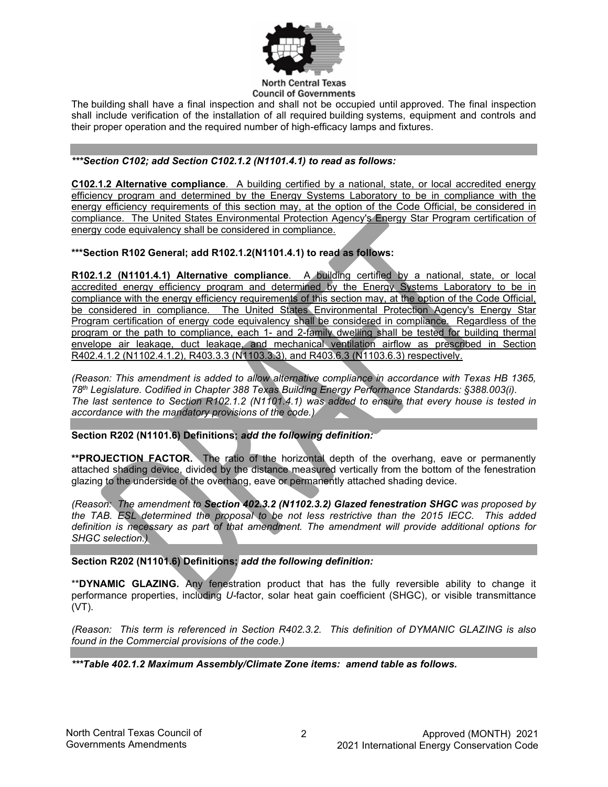

The building shall have a final inspection and shall not be occupied until approved. The final inspection shall include verification of the installation of all required building systems, equipment and controls and their proper operation and the required number of high-efficacy lamps and fixtures.

## *\*\*\*Section C102; add Section C102.1.2 (N1101.4.1) to read as follows:*

**C102.1.2 Alternative compliance**. A building certified by a national, state, or local accredited energy efficiency program and determined by the Energy Systems Laboratory to be in compliance with the energy efficiency requirements of this section may, at the option of the Code Official, be considered in compliance. The United States Environmental Protection Agency's Energy Star Program certification of energy code equivalency shall be considered in compliance.

**\*\*\*Section R102 General; add R102.1.2(N1101.4.1) to read as follows:**

**R102.1.2 (N1101.4.1) Alternative compliance**. A building certified by a national, state, or local accredited energy efficiency program and determined by the Energy Systems Laboratory to be in compliance with the energy efficiency requirements of this section may, at the option of the Code Official, be considered in compliance. The United States Environmental Protection Agency's Energy Star Program certification of energy code equivalency shall be considered in compliance. Regardless of the program or the path to compliance, each 1- and 2-family dwelling shall be tested for building thermal envelope air leakage, duct leakage, and mechanical ventilation airflow as prescribed in Section R402.4.1.2 (N1102.4.1.2), R403.3.3 (N1103.3.3), and R403.6.3 (N1103.6.3) respectively.

*(Reason: This amendment is added to allow alternative compliance in accordance with Texas HB 1365, 78th Legislature. Codified in Chapter 388 Texas Building Energy Performance Standards: §388.003(i). The last sentence to Section R102.1.2 (N1101.4.1) was added to ensure that every house is tested in accordance with the mandatory provisions of the code.)*

**Section R202 (N1101.6) Definitions;** *add the following definition:*

**\*\*PROJECTION FACTOR.** The ratio of the horizontal depth of the overhang, eave or permanently attached shading device, divided by the distance measured vertically from the bottom of the fenestration glazing to the underside of the overhang, eave or permanently attached shading device.

*(Reason: The amendment to Section 402.3.2 (N1102.3.2) Glazed fenestration SHGC was proposed by the TAB. ESL determined the proposal to be not less restrictive than the 2015 IECC. This added definition is necessary as part of that amendment. The amendment will provide additional options for SHGC selection.)*

**Section R202 (N1101.6) Definitions;** *add the following definition:*

\*\***DYNAMIC GLAZING.** Any fenestration product that has the fully reversible ability to change it performance properties, including *U-*factor, solar heat gain coefficient (SHGC), or visible transmittance (VT).

*(Reason: This term is referenced in Section R402.3.2. This definition of DYMANIC GLAZING is also found in the Commercial provisions of the code.)*

*\*\*\*Table 402.1.2 Maximum Assembly/Climate Zone items: amend table as follows.*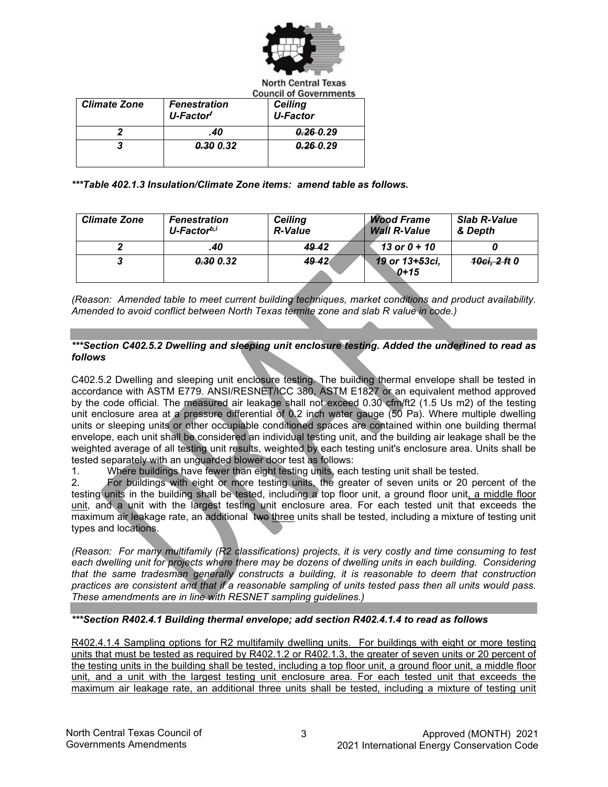

| <b>Climate Zone</b> | <b>Fenestration</b><br>U-Factor <sup>f</sup> | <b>Ceiling</b><br><b>U-Factor</b> |
|---------------------|----------------------------------------------|-----------------------------------|
|                     | .40                                          | $0.26 - 0.29$                     |
|                     | 0.30 0.32                                    | 0.2600.29                         |

*\*\*\*Table 402.1.3 Insulation/Climate Zone items: amend table as follows.*

| <b>Climate Zone</b> | <b>Fenestration</b><br>U-Factor <sup>b,i</sup> | <b>Ceiling</b><br><b>R-Value</b> | <b>Wood Frame</b><br><b>Wall R-Value</b> | <b>Slab R-Value</b><br>& Depth |
|---------------------|------------------------------------------------|----------------------------------|------------------------------------------|--------------------------------|
|                     | .40                                            | 49.42                            | 13 or $0 + 10$                           |                                |
|                     | <b>0.30 0.32</b>                               | 49.42                            | 19 or 13+53ci,<br>$0 + 15$               | <del>10ci. 2 ft</del> 0        |

*(Reason: Amended table to meet current building techniques, market conditions and product availability. Amended to avoid conflict between North Texas termite zone and slab R value in code.)*

## *\*\*\*Section C402.5.2 Dwelling and sleeping unit enclosure testing. Added the underlined to read as follows*

C402.5.2 Dwelling and sleeping unit enclosure testing. The building thermal envelope shall be tested in accordance with ASTM E779. ANSI/RESNET/ICC 380, ASTM E1827 or an equivalent method approved by the code official. The measured air leakage shall not exceed 0.30 cfm/ft2 (1.5 Us m2) of the testing unit enclosure area at a pressure differential of 0.2 inch water gauge (50 Pa). Where multiple dwelling units or sleeping units or other occupiable conditioned spaces are contained within one building thermal envelope, each unit shall be considered an individual testing unit, and the building air leakage shall be the weighted average of all testing unit results, weighted by each testing unit's enclosure area. Units shall be tested separately with an unguarded blower door test as follows:

1. Where buildings have fewer than eight testing units, each testing unit shall be tested.

2. For buildings with eight or more testing units, the greater of seven units or 20 percent of the testing units in the building shall be tested, including a top floor unit, a ground floor unit, a middle floor unit, and a unit with the largest testing unit enclosure area. For each tested unit that exceeds the maximum air leakage rate, an additional two three units shall be tested, including a mixture of testing unit types and locations.

*(Reason: For many multifamily (R2 classifications) projects, it is very costly and time consuming to test each dwelling unit for projects where there may be dozens of dwelling units in each building. Considering that the same tradesman generally constructs a building, it is reasonable to deem that construction practices are consistent and that if a reasonable sampling of units tested pass then all units would pass. These amendments are in line with RESNET sampling guidelines.)*

*\*\*\*Section R402.4.1 Building thermal envelope; add section R402.4.1.4 to read as follows*

R402.4.1.4 Sampling options for R2 multifamily dwelling units. For buildings with eight or more testing units that must be tested as required by R402.1.2 or R402.1.3, the greater of seven units or 20 percent of the testing units in the building shall be tested, including a top floor unit, a ground floor unit, a middle floor unit, and a unit with the largest testing unit enclosure area. For each tested unit that exceeds the maximum air leakage rate, an additional three units shall be tested, including a mixture of testing unit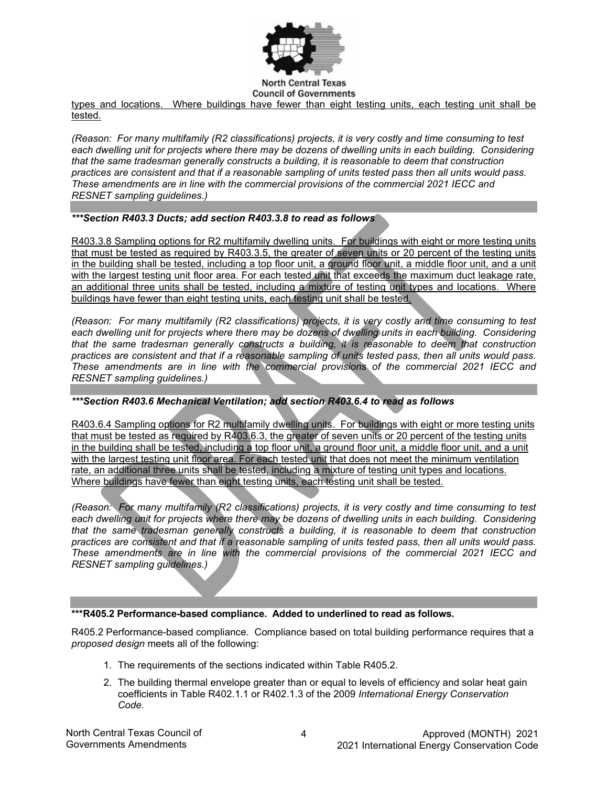

**Council of Governments** 

types and locations. Where buildings have fewer than eight testing units, each testing unit shall be tested.

*(Reason: For many multifamily (R2 classifications) projects, it is very costly and time consuming to test each dwelling unit for projects where there may be dozens of dwelling units in each building. Considering that the same tradesman generally constructs a building, it is reasonable to deem that construction practices are consistent and that if a reasonable sampling of units tested pass then all units would pass. These amendments are in line with the commercial provisions of the commercial 2021 IECC and RESNET sampling guidelines.)*

## *\*\*\*Section R403.3 Ducts; add section R403.3.8 to read as follows*

R403.3.8 Sampling options for R2 multifamily dwelling units. For buildings with eight or more testing units that must be tested as required by R403.3.5, the greater of seven units or 20 percent of the testing units in the building shall be tested, including a top floor unit, a ground floor unit, a middle floor unit, and a unit with the largest testing unit floor area. For each tested unit that exceeds the maximum duct leakage rate, an additional three units shall be tested, including a mixture of testing unit types and locations. Where buildings have fewer than eight testing units, each testing unit shall be tested.

*(Reason: For many multifamily (R2 classifications) projects, it is very costly and time consuming to test each dwelling unit for projects where there may be dozens of dwelling units in each building. Considering that the same tradesman generally constructs a building, it is reasonable to deem that construction practices are consistent and that if a reasonable sampling of units tested pass, then all units would pass. These amendments are in line with the commercial provisions of the commercial 2021 IECC and RESNET sampling guidelines.)*

## *\*\*\*Section R403.6 Mechanical Ventilation; add section R403.6.4 to read as follows*

R403.6.4 Sampling options for R2 multifamily dwelling units. For buildings with eight or more testing units that must be tested as required by R403.6.3, the greater of seven units or 20 percent of the testing units in the building shall be tested, including a top floor unit, a ground floor unit, a middle floor unit, and a unit with the largest testing unit floor area. For each tested unit that does not meet the minimum ventilation rate, an additional three units shall be tested, including a mixture of testing unit types and locations. Where buildings have fewer than eight testing units, each testing unit shall be tested.

*(Reason: For many multifamily (R2 classifications) projects, it is very costly and time consuming to test*  each dwelling unit for projects where there may be dozens of dwelling units in each building. Considering *that the same tradesman generally constructs a building, it is reasonable to deem that construction practices are consistent and that if a reasonable sampling of units tested pass, then all units would pass. These amendments are in line with the commercial provisions of the commercial 2021 IECC and RESNET sampling guidelines.)*

## **\*\*\*R405.2 Performance-based compliance. Added to underlined to read as follows.**

R405.2 Performance-based compliance. Compliance based on total building performance requires that a *proposed design* meets all of the following:

- 1. The requirements of the sections indicated within Table R405.2.
- 2. The building thermal envelope greater than or equal to levels of efficiency and solar heat gain coefficients in Table R402.1.1 or R402.1.3 of the 2009 *International Energy Conservation Code.*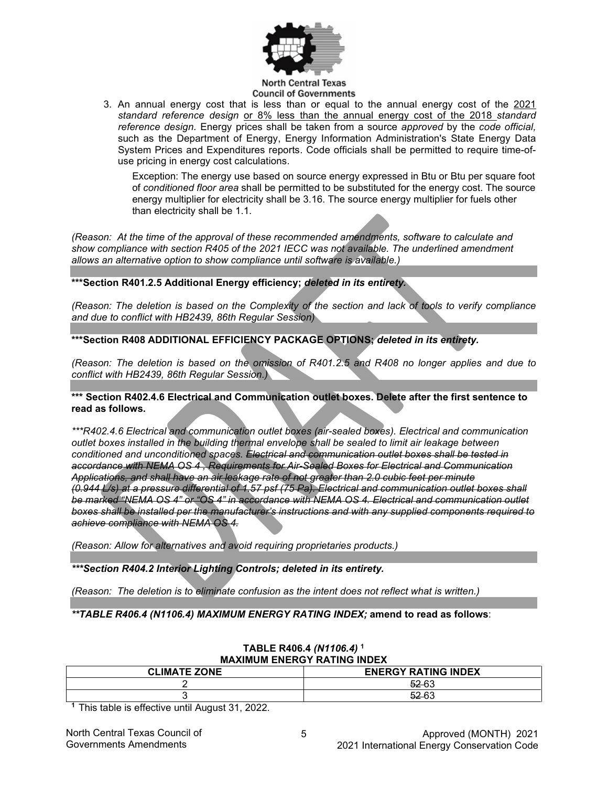

3. An annual energy cost that is less than or equal to the annual energy cost of the 2021 *standard reference design* or 8% less than the annual energy cost of the 2018 *standard reference design.* Energy prices shall be taken from a source *approved* by the *code official,* such as the Department of Energy, Energy Information Administration's State Energy Data System Prices and Expenditures reports. Code officials shall be permitted to require time-ofuse pricing in energy cost calculations.

Exception: The energy use based on source energy expressed in Btu or Btu per square foot of *conditioned floor area* shall be permitted to be substituted for the energy cost. The source energy multiplier for electricity shall be 3.16. The source energy multiplier for fuels other than electricity shall be 1.1.

*(Reason: At the time of the approval of these recommended amendments, software to calculate and show compliance with section R405 of the 2021 IECC was not available. The underlined amendment allows an alternative option to show compliance until software is available.)*

**\*\*\*Section R401.2.5 Additional Energy efficiency;** *deleted in its entirety.*

*(Reason: The deletion is based on the Complexity of the section and lack of tools to verify compliance and due to conflict with HB2439, 86th Regular Session)*

**\*\*\*Section R408 ADDITIONAL EFFICIENCY PACKAGE OPTIONS;** *deleted in its entirety.*

*(Reason: The deletion is based on the omission of R401.2.5 and R408 no longer applies and due to conflict with HB2439, 86th Regular Session.)*

## **\*\*\* Section R402.4.6 Electrical and Communication outlet boxes. Delete after the first sentence to read as follows.**

*\*\*\*R402.4.6 Electrical and communication outlet boxes (air-sealed boxes). Electrical and communication outlet boxes installed in the building thermal envelope shall be sealed to limit air leakage between conditioned and unconditioned spaces. Electrical and communication outlet boxes shall be tested in accordance with NEMA OS 4 , Requirements for Air-Sealed Boxes for Electrical and Communication Applications, and shall have an air leakage rate of not greater than 2.0 cubic feet per minute (0.944 L/s) at a pressure differential of 1.57 psf (75 Pa). Electrical and communication outlet boxes shall be marked "NEMA OS 4" or "OS 4" in accordance with NEMA OS 4. Electrical and communication outlet boxes shall be installed per the manufacturer's instructions and with any supplied components required to achieve compliance with NEMA OS 4.*

*(Reason: Allow for alternatives and avoid requiring proprietaries products.)*

*\*\*\*Section R404.2 Interior Lighting Controls; deleted in its entirety.*

*(Reason: The deletion is to eliminate confusion as the intent does not reflect what is written.)*

*\*\*TABLE R406.4 (N1106.4) MAXIMUM ENERGY RATING INDEX;* **amend to read as follows**:

| <b>MAXIMUM ENERGY RATING INDEX</b> |                            |  |
|------------------------------------|----------------------------|--|
| <b>CLIMATE ZONE</b>                | <b>ENERGY RATING INDEX</b> |  |
|                                    | 52-63                      |  |
|                                    | 52-63                      |  |

# **TABLE R406.4** *(N1106.4)* **<sup>1</sup>**

**1** This table is effective until August 31, 2022.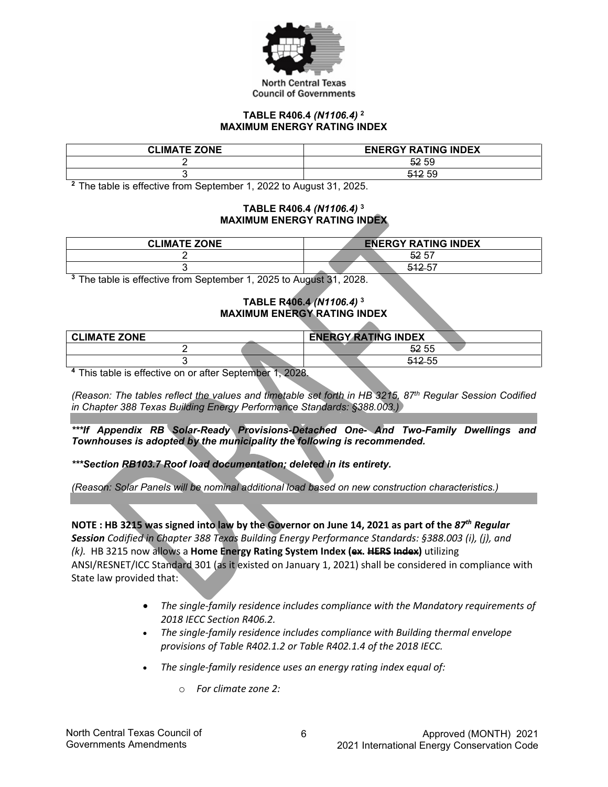

### **TABLE R406.4** *(N1106.4)* **<sup>2</sup> MAXIMUM ENERGY RATING INDEX**

| <b>CLIMATE ZONE</b> | <b>ENERGY RATING INDEX</b> |
|---------------------|----------------------------|
|                     | 52 59                      |
|                     | 512 59                     |

**<sup>2</sup>**The table is effective from September 1, 2022 to August 31, 2025.

## **TABLE R406.4** *(N1106.4)* **<sup>3</sup> MAXIMUM ENERGY RATING INDEX**

| <b>CLIMATE ZONE</b> | <b>ENERGY RATING INDEX</b> |
|---------------------|----------------------------|
|                     | 52 57                      |
|                     | E40E7                      |

**<sup>3</sup>**The table is effective from September 1, 2025 to August 31, 2028.

## **TABLE R406.4** *(N1106.4)* **<sup>3</sup> MAXIMUM ENERGY RATING INDEX**

| <b>CLIMATE ZONE</b> | <b>ENERGY RATING INDEX</b> |
|---------------------|----------------------------|
|                     | 52 55                      |
|                     | 51255<br>ᆎᆇ◡               |

**<sup>4</sup>**This table is effective on or after September 1, 2028.

*(Reason: The tables reflect the values and timetable set forth in HB 3215, 87th Regular Session Codified in Chapter 388 Texas Building Energy Performance Standards: §388.003.)*

*\*\*\*If Appendix RB Solar-Ready Provisions-Detached One- And Two-Family Dwellings and Townhouses is adopted by the municipality the following is recommended.*

*\*\*\*Section RB103.7 Roof load documentation; deleted in its entirety.*

*(Reason: Solar Panels will be nominal additional load based on new construction characteristics.)*

**NOTE : HB 3215 was signed into law by the Governor on June 14, 2021 as part of the** *87th Regular Session Codified in Chapter 388 Texas Building Energy Performance Standards: §388.003 (i), (j), and (k).* HB 3215 now allows a **Home Energy Rating System Index (ex. HERS Index)** utilizing ANSI/RESNET/ICC Standard 301 (as it existed on January 1, 2021) shall be considered in compliance with State law provided that:

- *The single-family residence includes compliance with the Mandatory requirements of 2018 IECC Section R406.2.*
- *The single-family residence includes compliance with Building thermal envelope provisions of Table R402.1.2 or Table R402.1.4 of the 2018 IECC.*
- *The single-family residence uses an energy rating index equal of:*
	- o *For climate zone 2:*